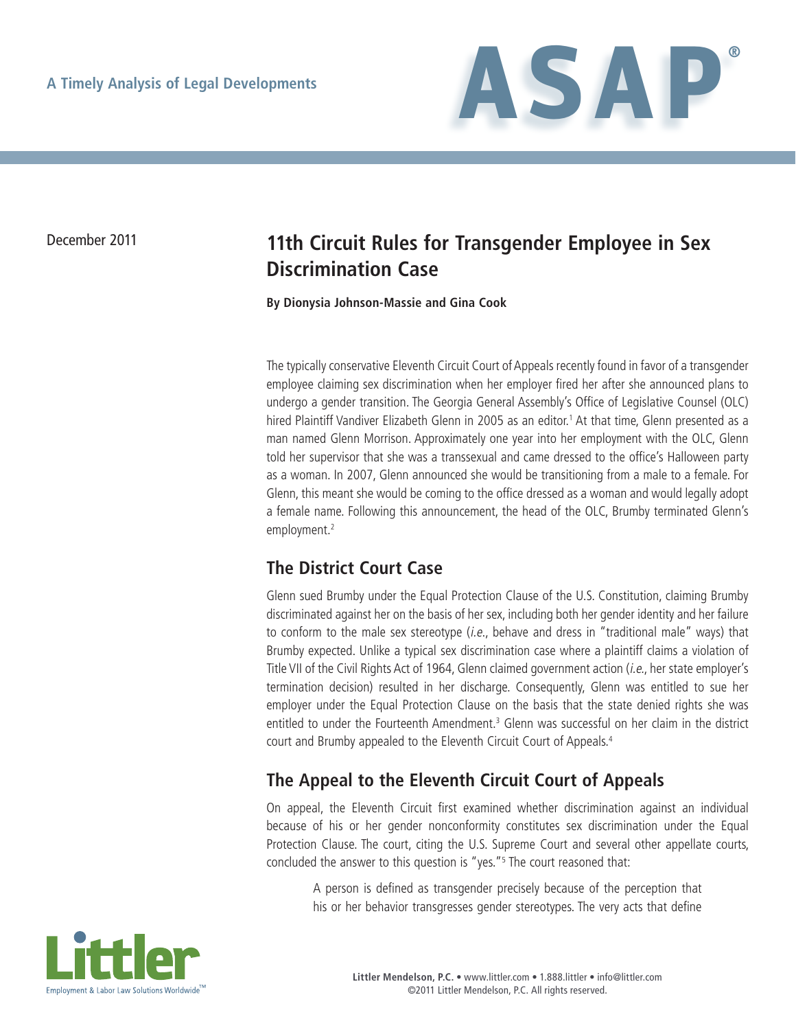

## December 2011 **11th Circuit Rules for Transgender Employee in Sex Discrimination Case**

**By Dionysia Johnson-Massie and Gina Cook**

The typically conservative Eleventh Circuit Court of Appeals recently found in favor of a transgender employee claiming sex discrimination when her employer fired her after she announced plans to undergo a gender transition. The Georgia General Assembly's Office of Legislative Counsel (OLC) hired Plaintiff Vandiver Elizabeth Glenn in 2005 as an editor.<sup>1</sup> At that time, Glenn presented as a man named Glenn Morrison. Approximately one year into her employment with the OLC, Glenn told her supervisor that she was a transsexual and came dressed to the office's Halloween party as a woman. In 2007, Glenn announced she would be transitioning from a male to a female. For Glenn, this meant she would be coming to the office dressed as a woman and would legally adopt a female name. Following this announcement, the head of the OLC, Brumby terminated Glenn's employment.<sup>2</sup>

## **The District Court Case**

Glenn sued Brumby under the Equal Protection Clause of the U.S. Constitution, claiming Brumby discriminated against her on the basis of her sex, including both her gender identity and her failure to conform to the male sex stereotype *(i.e., behave and dress in "traditional male" ways)* that Brumby expected. Unlike a typical sex discrimination case where a plaintiff claims a violation of Title VII of the Civil Rights Act of 1964, Glenn claimed government action (i.e., her state employer's termination decision) resulted in her discharge. Consequently, Glenn was entitled to sue her employer under the Equal Protection Clause on the basis that the state denied rights she was entitled to under the Fourteenth Amendment.<sup>3</sup> Glenn was successful on her claim in the district court and Brumby appealed to the Eleventh Circuit Court of Appeals.4

## **The Appeal to the Eleventh Circuit Court of Appeals**

On appeal, the Eleventh Circuit first examined whether discrimination against an individual because of his or her gender nonconformity constitutes sex discrimination under the Equal Protection Clause. The court, citing the U.S. Supreme Court and several other appellate courts, concluded the answer to this question is "yes."<sup>5</sup> The court reasoned that:

A person is defined as transgender precisely because of the perception that his or her behavior transgresses gender stereotypes. The very acts that define

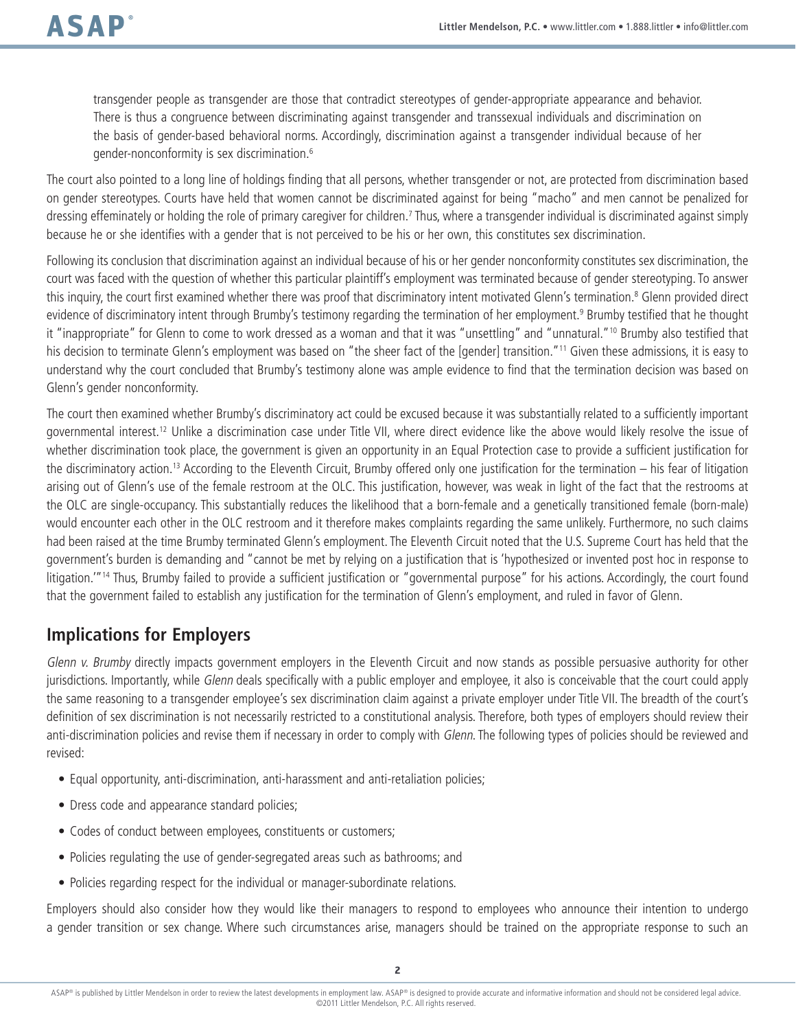transgender people as transgender are those that contradict stereotypes of gender-appropriate appearance and behavior. There is thus a congruence between discriminating against transgender and transsexual individuals and discrimination on the basis of gender-based behavioral norms. Accordingly, discrimination against a transgender individual because of her gender-nonconformity is sex discrimination.6

The court also pointed to a long line of holdings finding that all persons, whether transgender or not, are protected from discrimination based on gender stereotypes. Courts have held that women cannot be discriminated against for being "macho" and men cannot be penalized for dressing effeminately or holding the role of primary caregiver for children.<sup>7</sup> Thus, where a transgender individual is discriminated against simply because he or she identifies with a gender that is not perceived to be his or her own, this constitutes sex discrimination.

Following its conclusion that discrimination against an individual because of his or her gender nonconformity constitutes sex discrimination, the court was faced with the question of whether this particular plaintiff's employment was terminated because of gender stereotyping. To answer this inquiry, the court first examined whether there was proof that discriminatory intent motivated Glenn's termination.<sup>8</sup> Glenn provided direct evidence of discriminatory intent through Brumby's testimony regarding the termination of her employment.<sup>9</sup> Brumby testified that he thought it "inappropriate" for Glenn to come to work dressed as a woman and that it was "unsettling" and "unnatural."<sup>10</sup> Brumby also testified that his decision to terminate Glenn's employment was based on "the sheer fact of the [gender] transition."<sup>11</sup> Given these admissions, it is easy to understand why the court concluded that Brumby's testimony alone was ample evidence to find that the termination decision was based on Glenn's gender nonconformity.

The court then examined whether Brumby's discriminatory act could be excused because it was substantially related to a sufficiently important governmental interest.12 Unlike a discrimination case under Title VII, where direct evidence like the above would likely resolve the issue of whether discrimination took place, the government is given an opportunity in an Equal Protection case to provide a sufficient justification for the discriminatory action.13 According to the Eleventh Circuit, Brumby offered only one justification for the termination – his fear of litigation arising out of Glenn's use of the female restroom at the OLC. This justification, however, was weak in light of the fact that the restrooms at the OLC are single-occupancy. This substantially reduces the likelihood that a born-female and a genetically transitioned female (born-male) would encounter each other in the OLC restroom and it therefore makes complaints regarding the same unlikely. Furthermore, no such claims had been raised at the time Brumby terminated Glenn's employment. The Eleventh Circuit noted that the U.S. Supreme Court has held that the government's burden is demanding and "cannot be met by relying on a justification that is 'hypothesized or invented post hoc in response to litigation."<sup>14</sup> Thus, Brumby failed to provide a sufficient justification or "governmental purpose" for his actions. Accordingly, the court found that the government failed to establish any justification for the termination of Glenn's employment, and ruled in favor of Glenn.

## **Implications for Employers**

Glenn v. Brumby directly impacts government employers in the Eleventh Circuit and now stands as possible persuasive authority for other jurisdictions. Importantly, while Glenn deals specifically with a public employer and employee, it also is conceivable that the court could apply the same reasoning to a transgender employee's sex discrimination claim against a private employer under Title VII. The breadth of the court's definition of sex discrimination is not necessarily restricted to a constitutional analysis. Therefore, both types of employers should review their anti-discrimination policies and revise them if necessary in order to comply with Glenn. The following types of policies should be reviewed and revised:

- Equal opportunity, anti-discrimination, anti-harassment and anti-retaliation policies;
- Dress code and appearance standard policies;
- Codes of conduct between employees, constituents or customers;
- Policies regulating the use of gender-segregated areas such as bathrooms; and
- Policies regarding respect for the individual or manager-subordinate relations.

Employers should also consider how they would like their managers to respond to employees who announce their intention to undergo a gender transition or sex change. Where such circumstances arise, managers should be trained on the appropriate response to such an